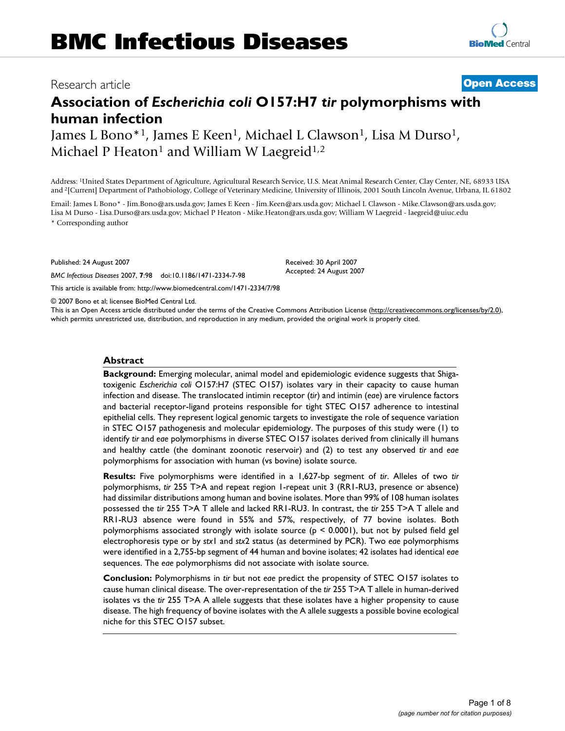# **Association of** *Escherichia coli* **O157:H7** *tir* **polymorphisms with human infection**

James L Bono<sup>\*1</sup>, James E Keen<sup>1</sup>, Michael L Clawson<sup>1</sup>, Lisa M Durso<sup>1</sup>, Michael P Heaton<sup>1</sup> and William W Laegreid<sup>1,2</sup>

Address: 1United States Department of Agriculture, Agricultural Research Service, U.S. Meat Animal Research Center, Clay Center, NE, 68933 USA and 2[Current] Department of Pathobiology, College of Veterinary Medicine, University of Illinois, 2001 South Lincoln Avenue, Urbana, IL 61802

Email: James L Bono\* - Jim.Bono@ars.usda.gov; James E Keen - Jim.Keen@ars.usda.gov; Michael L Clawson - Mike.Clawson@ars.usda.gov; Lisa M Durso - Lisa.Durso@ars.usda.gov; Michael P Heaton - Mike.Heaton@ars.usda.gov; William W Laegreid - laegreid@uiuc.edu \* Corresponding author

Published: 24 August 2007

*BMC Infectious Diseases* 2007, **7**:98 doi:10.1186/1471-2334-7-98

[This article is available from: http://www.biomedcentral.com/1471-2334/7/98](http://www.biomedcentral.com/1471-2334/7/98)

© 2007 Bono et al; licensee BioMed Central Ltd.

This is an Open Access article distributed under the terms of the Creative Commons Attribution License [\(http://creativecommons.org/licenses/by/2.0\)](http://creativecommons.org/licenses/by/2.0), which permits unrestricted use, distribution, and reproduction in any medium, provided the original work is properly cited.

#### **Abstract**

**Background:** Emerging molecular, animal model and epidemiologic evidence suggests that Shigatoxigenic *Escherichia coli* O157:H7 (STEC O157) isolates vary in their capacity to cause human infection and disease. The translocated intimin receptor (*tir*) and intimin (*eae*) are virulence factors and bacterial receptor-ligand proteins responsible for tight STEC O157 adherence to intestinal epithelial cells. They represent logical genomic targets to investigate the role of sequence variation in STEC O157 pathogenesis and molecular epidemiology. The purposes of this study were (1) to identify *tir* and *eae* polymorphisms in diverse STEC O157 isolates derived from clinically ill humans and healthy cattle (the dominant zoonotic reservoir) and (2) to test any observed *tir* and *eae* polymorphisms for association with human (vs bovine) isolate source.

**Results:** Five polymorphisms were identified in a 1,627-bp segment of *tir*. Alleles of two *tir* polymorphisms, *tir* 255 T>A and repeat region 1-repeat unit 3 (RR1-RU3, presence or absence) had dissimilar distributions among human and bovine isolates. More than 99% of 108 human isolates possessed the *tir* 255 T>A T allele and lacked RR1-RU3. In contrast, the *tir* 255 T>A T allele and RR1-RU3 absence were found in 55% and 57%, respectively, of 77 bovine isolates. Both polymorphisms associated strongly with isolate source ( $p \le 0.0001$ ), but not by pulsed field gel electrophoresis type or by *stx*1 and *stx*2 status (as determined by PCR). Two *eae* polymorphisms were identified in a 2,755-bp segment of 44 human and bovine isolates; 42 isolates had identical *eae* sequences. The *eae* polymorphisms did not associate with isolate source.

**Conclusion:** Polymorphisms in *tir* but not *eae* predict the propensity of STEC O157 isolates to cause human clinical disease. The over-representation of the *tir* 255 T>A T allele in human-derived isolates vs the *tir* 255 T>A A allele suggests that these isolates have a higher propensity to cause disease. The high frequency of bovine isolates with the A allele suggests a possible bovine ecological niche for this STEC O157 subset.

> Page 1 of 8 *(page number not for citation purposes)*

Received: 30 April 2007 Accepted: 24 August 2007

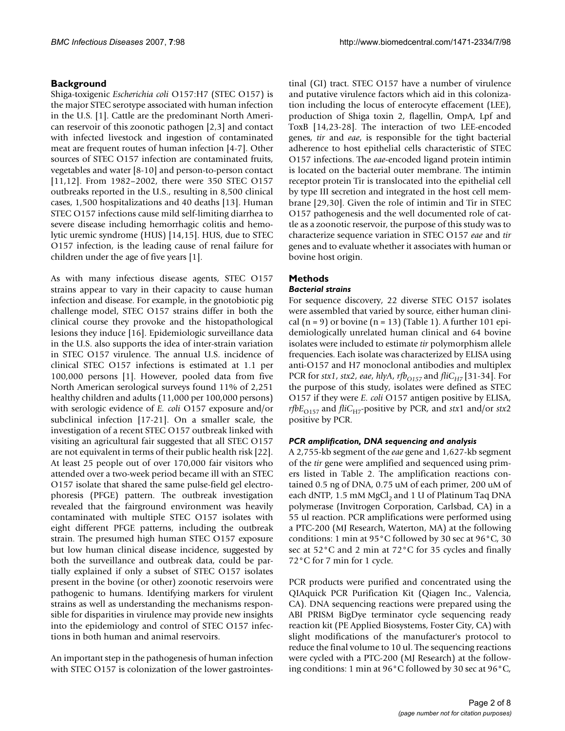# **Background**

Shiga-toxigenic *Escherichia coli* O157:H7 (STEC O157) is the major STEC serotype associated with human infection in the U.S. [1]. Cattle are the predominant North American reservoir of this zoonotic pathogen [2,3] and contact with infected livestock and ingestion of contaminated meat are frequent routes of human infection [[4](#page-6-0)-7]. Other sources of STEC O157 infection are contaminated fruits, vegetables and water [[8-](#page-6-1)10] and person-to-person contact [11,12]. From 1982–2002, there were 350 STEC O157 outbreaks reported in the U.S., resulting in 8,500 clinical cases, 1,500 hospitalizations and 40 deaths [\[13\]](#page-6-2). Human STEC O157 infections cause mild self-limiting diarrhea to severe disease including hemorrhagic colitis and hemolytic uremic syndrome (HUS) [14,15]. HUS, due to STEC O157 infection, is the leading cause of renal failure for children under the age of five years [1].

As with many infectious disease agents, STEC O157 strains appear to vary in their capacity to cause human infection and disease. For example, in the gnotobiotic pig challenge model, STEC O157 strains differ in both the clinical course they provoke and the histopathological lesions they induce [\[16](#page-6-3)]. Epidemiologic surveillance data in the U.S. also supports the idea of inter-strain variation in STEC O157 virulence. The annual U.S. incidence of clinical STEC O157 infections is estimated at 1.1 per 100,000 persons [1]. However, pooled data from five North American serological surveys found 11% of 2,251 healthy children and adults (11,000 per 100,000 persons) with serologic evidence of *E. coli* O157 exposure and/or subclinical infection [17[-21](#page-6-4)]. On a smaller scale, the investigation of a recent STEC O157 outbreak linked with visiting an agricultural fair suggested that all STEC O157 are not equivalent in terms of their public health risk [22]. At least 25 people out of over 170,000 fair visitors who attended over a two-week period became ill with an STEC O157 isolate that shared the same pulse-field gel electrophoresis (PFGE) pattern. The outbreak investigation revealed that the fairground environment was heavily contaminated with multiple STEC O157 isolates with eight different PFGE patterns, including the outbreak strain. The presumed high human STEC O157 exposure but low human clinical disease incidence, suggested by both the surveillance and outbreak data, could be partially explained if only a subset of STEC O157 isolates present in the bovine (or other) zoonotic reservoirs were pathogenic to humans. Identifying markers for virulent strains as well as understanding the mechanisms responsible for disparities in virulence may provide new insights into the epidemiology and control of STEC O157 infections in both human and animal reservoirs.

An important step in the pathogenesis of human infection with STEC O157 is colonization of the lower gastrointestinal (GI) tract. STEC O157 have a number of virulence and putative virulence factors which aid in this colonization including the locus of enterocyte effacement (LEE), production of Shiga toxin 2, flagellin, OmpA, Lpf and ToxB [14,23-28]. The interaction of two LEE-encoded genes, *tir* and *eae*, is responsible for the tight bacterial adherence to host epithelial cells characteristic of STEC O157 infections. The *eae*-encoded ligand protein intimin is located on the bacterial outer membrane. The intimin receptor protein Tir is translocated into the epithelial cell by type III secretion and integrated in the host cell membrane [29,30]. Given the role of intimin and Tir in STEC O157 pathogenesis and the well documented role of cattle as a zoonotic reservoir, the purpose of this study was to characterize sequence variation in STEC O157 *eae* and *tir* genes and to evaluate whether it associates with human or bovine host origin.

# **Methods**

# *Bacterial strains*

For sequence discovery, 22 diverse STEC O157 isolates were assembled that varied by source, either human clinical  $(n = 9)$  or bovine  $(n = 13)$  (Table 1). A further 101 epidemiologically unrelated human clinical and 64 bovine isolates were included to estimate *tir* polymorphism allele frequencies. Each isolate was characterized by ELISA using anti-O157 and H7 monoclonal antibodies and multiplex PCR for *stx1*, *stx2*, *eae*, *hlyA*, *rfb*<sub>O157</sub> and *fliC<sub>H7</sub>* [31-34]. For the purpose of this study, isolates were defined as STEC O157 if they were *E. coli* O157 antigen positive by ELISA, *rfb* $E_{O157}$  and *fliC*<sub>H7</sub>-positive by PCR, and *stx*1 and/or *stx*2 positive by PCR.

## *PCR amplification, DNA sequencing and analysis*

A 2,755-kb segment of the *eae* gene and 1,627-kb segment of the *tir* gene were amplified and sequenced using primers listed in Table 2. The amplification reactions contained 0.5 ng of DNA, 0.75 uM of each primer, 200 uM of each dNTP,  $1.5 \text{ mM MgCl}_2$  and  $1 \text{ U of }$  Platinum Taq DNA polymerase (Invitrogen Corporation, Carlsbad, CA) in a 55 ul reaction. PCR amplifications were performed using a PTC-200 (MJ Research, Waterton, MA) at the following conditions: 1 min at 95°C followed by 30 sec at 96°C, 30 sec at 52°C and 2 min at 72°C for 35 cycles and finally 72°C for 7 min for 1 cycle.

PCR products were purified and concentrated using the QIAquick PCR Purification Kit (Qiagen Inc., Valencia, CA). DNA sequencing reactions were prepared using the ABI PRISM BigDye terminator cycle sequencing ready reaction kit (PE Applied Biosystems, Foster City, CA) with slight modifications of the manufacturer's protocol to reduce the final volume to 10 ul. The sequencing reactions were cycled with a PTC-200 (MJ Research) at the following conditions: 1 min at 96°C followed by 30 sec at 96°C,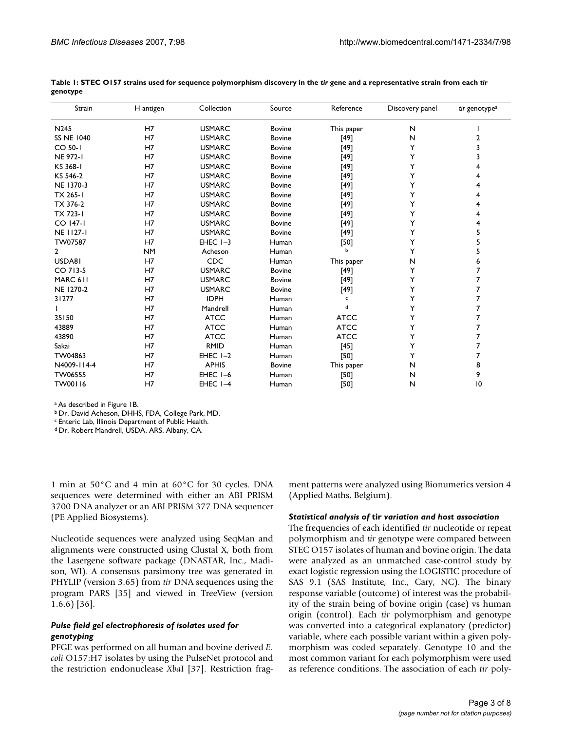| Strain            | H antigen | Collection    | Source        | Reference       | Discovery panel | tir genotype <sup>a</sup> |
|-------------------|-----------|---------------|---------------|-----------------|-----------------|---------------------------|
| N <sub>245</sub>  | H7        | <b>USMARC</b> | <b>Bovine</b> | N<br>This paper |                 |                           |
| <b>SS NE 1040</b> | H7        | <b>USMARC</b> | <b>Bovine</b> | $[49]$          | N               | 2                         |
| CO 50-1           | H7        | <b>USMARC</b> | <b>Bovine</b> | [49]            | Υ               | 3                         |
| <b>NE 972-1</b>   | H7        | <b>USMARC</b> | <b>Bovine</b> | [49]            | Y               | 3                         |
| KS 368-1          | H7        | <b>USMARC</b> | <b>Bovine</b> | [49]            | Y               |                           |
| KS 546-2          | H7        | <b>USMARC</b> | <b>Bovine</b> | $[49]$          | Y               |                           |
| NE 1370-3         | H7        | <b>USMARC</b> | <b>Bovine</b> | [49]            | Y               |                           |
| TX 265-1          | H7        | <b>USMARC</b> | <b>Bovine</b> | [49]            | Y               |                           |
| TX 376-2          | H7        | <b>USMARC</b> | <b>Bovine</b> | [49]            | Y               |                           |
| TX 723-1          | H7        | <b>USMARC</b> | Bovine        | [49]            | Y               | 4                         |
| CO 147-1          | H7        | <b>USMARC</b> | <b>Bovine</b> | [49]            | Y               | 4                         |
| <b>NE 1127-1</b>  | H7        | <b>USMARC</b> | <b>Bovine</b> | [49]            | Y               | 5                         |
| TW07587           | H7        | EHEC $I-3$    | Human         | [50]            | Y               | 5                         |
| $\overline{2}$    | <b>NM</b> | Acheson       | Human         | Ы               | Y               | 5                         |
| USDA81            | H7        | <b>CDC</b>    | Human         | This paper      | N               | 6                         |
| CO 713-5          | H7        | <b>USMARC</b> | <b>Bovine</b> | $[49]$          | Y               | 7                         |
| MARC 611          | H7        | <b>USMARC</b> | <b>Bovine</b> | [49]            | Υ               | 7                         |
| NE 1270-2         | H7        | <b>USMARC</b> | <b>Bovine</b> | [49]            | Y               | 7                         |
| 31277             | H7        | <b>IDPH</b>   | Human         | c               | Y               | 7                         |
|                   | H7        | Mandrell      | Human         | d               | Y               | 7                         |
| 35150             | H7        | <b>ATCC</b>   | Human         | <b>ATCC</b>     | Y               | 7                         |
| 43889             | H7        | <b>ATCC</b>   | Human         | <b>ATCC</b>     | Y               | 7                         |
| 43890             | H7        | <b>ATCC</b>   | Human         | <b>ATCC</b>     | Y               | 7                         |
| Sakai             | H7        | <b>RMID</b>   | Human         | $[45]$          | Y               | 7                         |
| TW04863           | H7        | EHEC $I-2$    | Human         | $[50]$          | Y               | 7                         |
| N4009-114-4       | H7        | <b>APHIS</b>  | Bovine        | This paper      | N               | 8                         |
| TW06555           | H7        | EHEC I-6      | Human         | [50]            | N               | 9                         |
| TW00116           | H7        | EHEC I-4      | Human         | $[50]$          | N               | 10                        |

**Table 1: STEC O157 strains used for sequence polymorphism discovery in the** *tir* **gene and a representative strain from each** *tir*  **genotype**

a As described in Figure 1B.

b Dr. David Acheson, DHHS, FDA, College Park, MD.

c Enteric Lab, Illinois Department of Public Health.

d Dr. Robert Mandrell, USDA, ARS, Albany, CA.

1 min at 50°C and 4 min at 60°C for 30 cycles. DNA sequences were determined with either an ABI PRISM 3700 DNA analyzer or an ABI PRISM 377 DNA sequencer (PE Applied Biosystems).

Nucleotide sequences were analyzed using SeqMan and alignments were constructed using Clustal X, both from the Lasergene software package (DNASTAR, Inc., Madison, WI). A consensus parsimony tree was generated in PHYLIP (version 3.65) from *tir* DNA sequences using the program PARS [35] and viewed in TreeView (version 1.6.6) [36].

### *Pulse field gel electrophoresis of isolates used for genotyping*

PFGE was performed on all human and bovine derived *E. coli* O157:H7 isolates by using the PulseNet protocol and the restriction endonuclease *Xba*I [37]. Restriction fragment patterns were analyzed using Bionumerics version 4 (Applied Maths, Belgium).

#### *Statistical analysis of* **tir** *variation and host association*

The frequencies of each identified *tir* nucleotide or repeat polymorphism and *tir* genotype were compared between STEC O157 isolates of human and bovine origin. The data were analyzed as an unmatched case-control study by exact logistic regression using the LOGISTIC procedure of SAS 9.1 (SAS Institute, Inc., Cary, NC). The binary response variable (outcome) of interest was the probability of the strain being of bovine origin (case) vs human origin (control). Each *tir* polymorphism and genotype was converted into a categorical explanatory (predictor) variable, where each possible variant within a given polymorphism was coded separately. Genotype 10 and the most common variant for each polymorphism were used as reference conditions. The association of each *tir* poly-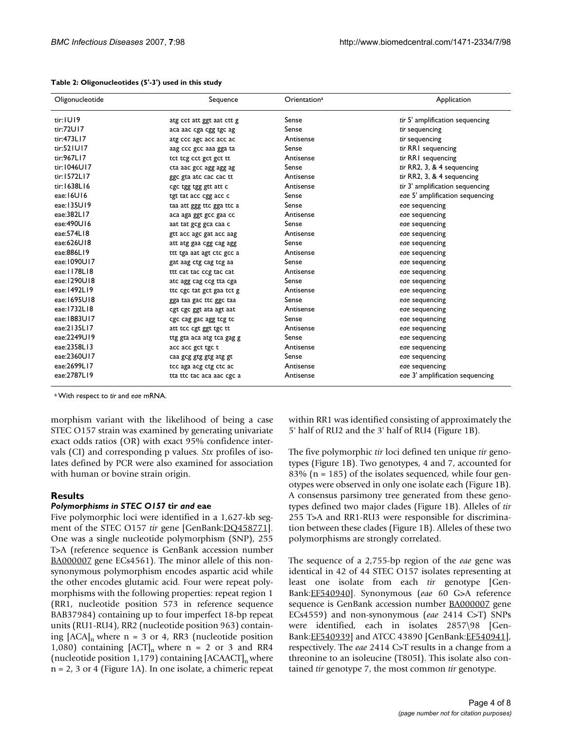| Oligonucleotide | Sequence                  | Orientation <sup>a</sup> | Application                     |
|-----------------|---------------------------|--------------------------|---------------------------------|
| tir: IUI9       | atg cct att ggt aat ctt g | Sense                    | tir 5' amplification sequencing |
| tir:72U17       | aca aac cga cgg tgc ag    | Sense                    | tir sequencing                  |
| tir:473L17      | atg ccc agc acc acc ac    | Antisense                | tir sequencing                  |
| tir:521U17      | aag ccc gcc aaa gga ta    | Sense                    | tir RRI sequencing              |
| tir:967L17      | tct tcg cct gct gct tt    | Antisense                | tir RRI sequencing              |
| tir:1046U17     | cta aac gcc agg agg ag    | Sense                    | tir RR2, 3, & 4 sequencing      |
| tir:1572L17     | gge gta ate cae cae tt    | Antisense                | tir RR2, 3, & 4 sequencing      |
| tir:1638L16     | cgc tgg tgg gtt att c     | Antisense                | tir 3' amplification sequencing |
| eae: 16U16      | tgt tat acc cgg acc c     | Sense                    | eae 5' amplification sequencing |
| eae:135U19      | taa att ggg ttc gga ttc a | Sense                    | eae sequencing                  |
| eae:382L17      | aca aga ggt gcc gaa cc    | Antisense                | eae sequencing                  |
| eae:490U16      | aat tat geg gea caa c     | Sense                    | eae sequencing                  |
| eae:574L18      | gtt acc agc gat acc aag   | Antisense                | eae sequencing                  |
| eae:626U18      | att atg gaa cgg cag agg   | Sense                    | eae sequencing                  |
| eae:886L19      | ttt tga aat agt ctc gcc a | Antisense                | eae sequencing                  |
| eae: 1090U17    | gat aag ctg cag tcg aa    | Sense                    | eae sequencing                  |
| eae: 1178L18    | ttt cat tac ccg tac cat   | Antisense                | eae sequencing                  |
| eae:1290U18     | atc agg cag ccg tta cga   | Sense                    | eae sequencing                  |
| eae: 1492L19    | tte ege tat get gaa tet g | Antisense                | eae sequencing                  |
| eae:1695U18     | gga taa gac ttc ggc taa   | Sense                    | eae sequencing                  |
| eae:1732L18     | cgt cgc ggt ata agt aat   | Antisense                | eae sequencing                  |
| eae: 1883U17    | cgc cag gac agg tcg tc    | Sense                    | eae sequencing                  |
| eae:2135L17     | att tcc cgt ggt tgc tt    | Antisense                | eae sequencing                  |
| eae:2249U19     | ttg gta aca atg tca gag g | Sense                    | eae sequencing                  |
| eae:2358L13     | acc acc gct tgc t         | Antisense                | eae sequencing                  |
| eae:2360U17     | caa gcg gtg gtg atg gt    | Sense                    | eae sequencing                  |
| eae:2699L17     | tcc aga acg ctg ctc ac    | Antisense                | eae sequencing                  |
| eae:2787L19     | tta ttc tac aca aac cgc a | Antisense                | eae 3' amplification sequencing |

| Table 2: Oligonucleotides (5'-3') used in this study |  |  |  |  |
|------------------------------------------------------|--|--|--|--|
|------------------------------------------------------|--|--|--|--|

a With respect to *tir* and *eae* mRNA.

morphism variant with the likelihood of being a case STEC O157 strain was examined by generating univariate exact odds ratios (OR) with exact 95% confidence intervals (CI) and corresponding p values. *Stx* profiles of isolates defined by PCR were also examined for association with human or bovine strain origin.

#### **Results**

#### *Polymorphisms in STEC O157* **tir** *and* **eae**

Five polymorphic loci were identified in a 1,627-kb segment of the STEC O157 *tir* gene [GenBank:*DQ458771*]. One was a single nucleotide polymorphism (SNP), 255 T>A (reference sequence is GenBank accession number [BA000007](http://www.ncbi.nih.gov/entrez/query.fcgi?db=Nucleotide&cmd=search&term=BA000007) gene ECs4561). The minor allele of this nonsynonymous polymorphism encodes aspartic acid while the other encodes glutamic acid. Four were repeat polymorphisms with the following properties: repeat region 1 (RR1, nucleotide position 573 in reference sequence BAB37984) containing up to four imperfect 18-bp repeat units (RU1-RU4), RR2 (nucleotide position 963) containing  $[ACA]_n$  where n = 3 or 4, RR3 (nucleotide position 1,080) containing  $[ACT]_n$  where n = 2 or 3 and RR4 (nucleotide position 1,179) containing  $[ACAACT]_n$  where n = 2, 3 or 4 (Figure 1A). In one isolate, a chimeric repeat within RR1 was identified consisting of approximately the 5' half of RU2 and the 3' half of RU4 (Figure 1B).

The five polymorphic *tir* loci defined ten unique *tir* genotypes (Figure 1B). Two genotypes, 4 and 7, accounted for 83% ( $n = 185$ ) of the isolates sequenced, while four genotypes were observed in only one isolate each (Figure 1B). A consensus parsimony tree generated from these genotypes defined two major clades (Figure 1B). Alleles of *tir* 255 T>A and RR1-RU3 were responsible for discrimination between these clades (Figure 1B). Alleles of these two polymorphisms are strongly correlated.

The sequence of a 2,755-bp region of the *eae* gene was identical in 42 of 44 STEC O157 isolates representing at least one isolate from each *tir* genotype [Gen-Bank:[EF540940\]](http://www.ncbi.nih.gov/entrez/query.fcgi?db=Nucleotide&cmd=search&term=EF540940). Synonymous (*eae* 60 G>A reference sequence is GenBank accession number **[BA000007](http://www.ncbi.nih.gov/entrez/query.fcgi?db=Nucleotide&cmd=search&term=BA000007)** gene ECs4559) and non-synonymous (*eae* 2414 C>T) SNPs were identified, each in isolates 2857\98 [Gen-Bank: [EF540939\]](http://www.ncbi.nih.gov/entrez/query.fcgi?db=Nucleotide&cmd=search&term=EF540939) and ATCC 43890 [GenBank: EF540941], respectively. The *eae* 2414 C>T results in a change from a threonine to an isoleucine (T805I). This isolate also contained *tir* genotype 7, the most common *tir* genotype.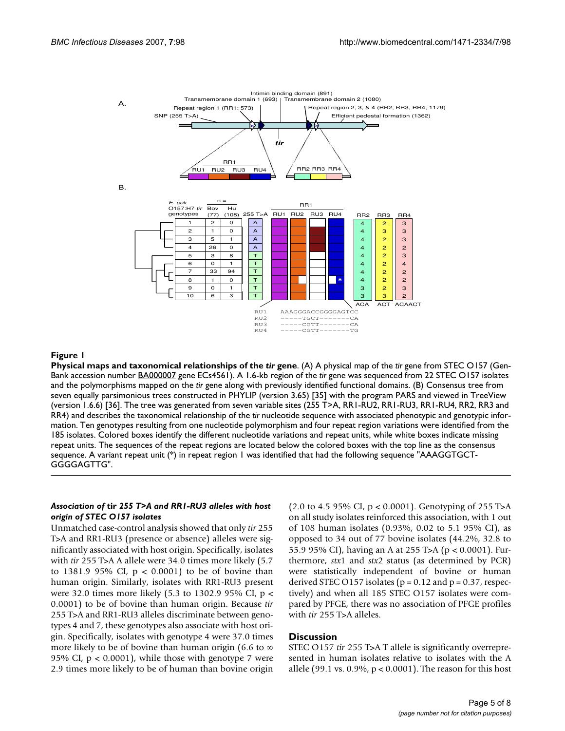

#### **Figure 1**

**Physical maps and taxonomical relationships of the** *tir* **gene**. (A) A physical map of the *tir* gene from STEC O157 (Gen-Bank accession number [BA000007](http://www.ncbi.nih.gov/entrez/query.fcgi?db=Nucleotide&cmd=search&term=BA000007) gene ECs4561). A 1.6-kb region of the *tir* gene was sequenced from 22 STEC O157 isolates and the polymorphisms mapped on the *tir* gene along with previously identified functional domains. (B) Consensus tree from seven equally parsimonious trees constructed in PHYLIP (version 3.65) [35] with the program PARS and viewed in TreeView (version 1.6.6) [36]. The tree was generated from seven variable sites (255 T>A, RR1-RU2, RR1-RU3, RR1-RU4, RR2, RR3 and RR4) and describes the taxonomical relationship of the *tir* nucleotide sequence with associated phenotypic and genotypic information. Ten genotypes resulting from one nucleotide polymorphism and four repeat region variations were identified from the 185 isolates. Colored boxes identify the different nucleotide variations and repeat units, while white boxes indicate missing repeat units. The sequences of the repeat regions are located below the colored boxes with the top line as the consensus sequence. A variant repeat unit  $(*)$  in repeat region 1 was identified that had the following sequence "AAAGGTGCT-GGGGAGTTG".

#### *Association of* **tir** *255 T>A and RR1-RU3 alleles with host origin of STEC O157 isolates*

Unmatched case-control analysis showed that only *tir* 255 T>A and RR1-RU3 (presence or absence) alleles were significantly associated with host origin. Specifically, isolates with *tir* 255 T>A A allele were 34.0 times more likely (5.7 to 1381.9 95% CI,  $p < 0.0001$  to be of bovine than human origin. Similarly, isolates with RR1-RU3 present were 32.0 times more likely (5.3 to 1302.9 95% CI, p < 0.0001) to be of bovine than human origin. Because *tir* 255 T>A and RR1-RU3 alleles discriminate between genotypes 4 and 7, these genotypes also associate with host origin. Specifically, isolates with genotype 4 were 37.0 times more likely to be of bovine than human origin (6.6 to ∞ 95% CI,  $p < 0.0001$ ), while those with genotype 7 were 2.9 times more likely to be of human than bovine origin (2.0 to 4.5 95% CI, p < 0.0001). Genotyping of 255 T>A on all study isolates reinforced this association, with 1 out of 108 human isolates (0.93%, 0.02 to 5.1 95% CI), as opposed to 34 out of 77 bovine isolates (44.2%, 32.8 to 55.9 95% CI), having an A at 255 T>A (p < 0.0001). Furthermore, *stx*1 and *stx*2 status (as determined by PCR) were statistically independent of bovine or human derived STEC O157 isolates ( $p = 0.12$  and  $p = 0.37$ , respectively) and when all 185 STEC O157 isolates were compared by PFGE, there was no association of PFGE profiles with *tir* 255 T>A alleles.

#### **Discussion**

STEC O157 *tir* 255 T>A T allele is significantly overrepresented in human isolates relative to isolates with the A allele (99.1 vs. 0.9%,  $p < 0.0001$ ). The reason for this host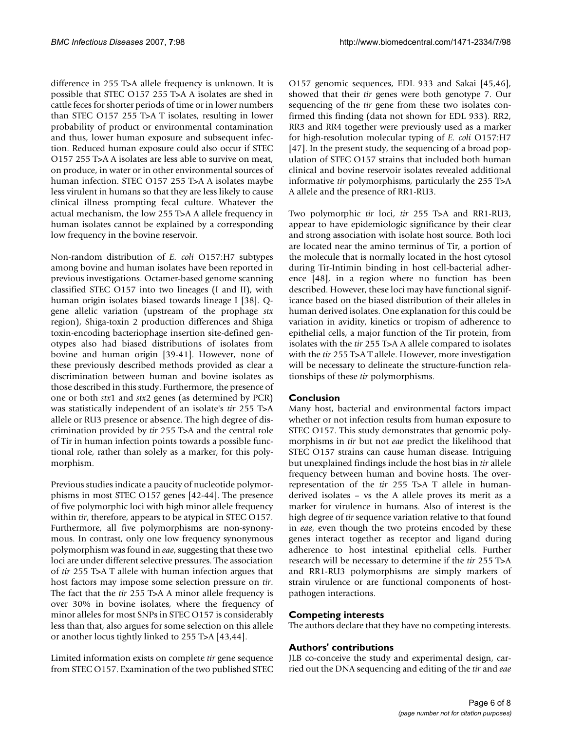difference in 255 T>A allele frequency is unknown. It is possible that STEC O157 255 T>A A isolates are shed in cattle feces for shorter periods of time or in lower numbers than STEC O157 255 T>A T isolates, resulting in lower probability of product or environmental contamination and thus, lower human exposure and subsequent infection. Reduced human exposure could also occur if STEC O157 255 T>A A isolates are less able to survive on meat, on produce, in water or in other environmental sources of human infection. STEC O157 255 T>A A isolates maybe less virulent in humans so that they are less likely to cause clinical illness prompting fecal culture. Whatever the actual mechanism, the low 255 T>A A allele frequency in human isolates cannot be explained by a corresponding low frequency in the bovine reservoir.

Non-random distribution of *E. coli* O157:H7 subtypes among bovine and human isolates have been reported in previous investigations. Octamer-based genome scanning classified STEC O157 into two lineages (I and II), with human origin isolates biased towards lineage I [38]. Qgene allelic variation (upstream of the prophage *stx* region), Shiga-toxin 2 production differences and Shiga toxin-encoding bacteriophage insertion site-defined genotypes also had biased distributions of isolates from bovine and human origin [39-41]. However, none of these previously described methods provided as clear a discrimination between human and bovine isolates as those described in this study. Furthermore, the presence of one or both *stx*1 and *stx*2 genes (as determined by PCR) was statistically independent of an isolate's *tir* 255 T>A allele or RU3 presence or absence. The high degree of discrimination provided by *tir* 255 T>A and the central role of Tir in human infection points towards a possible functional role, rather than solely as a marker, for this polymorphism.

Previous studies indicate a paucity of nucleotide polymorphisms in most STEC O157 genes [42-44]. The presence of five polymorphic loci with high minor allele frequency within *tir*, therefore, appears to be atypical in STEC O157. Furthermore, all five polymorphisms are non-synonymous. In contrast, only one low frequency synonymous polymorphism was found in *eae*, suggesting that these two loci are under different selective pressures. The association of *tir* 255 T>A T allele with human infection argues that host factors may impose some selection pressure on *tir*. The fact that the *tir* 255 T>A A minor allele frequency is over 30% in bovine isolates, where the frequency of minor alleles for most SNPs in STEC O157 is considerably less than that, also argues for some selection on this allele or another locus tightly linked to 255 T>A [43,44].

Limited information exists on complete *tir* gene sequence from STEC O157. Examination of the two published STEC O157 genomic sequences, EDL 933 and Sakai [45,46], showed that their *tir* genes were both genotype 7. Our sequencing of the *tir* gene from these two isolates confirmed this finding (data not shown for EDL 933). RR2, RR3 and RR4 together were previously used as a marker for high-resolution molecular typing of *E. coli* O157:H7 [47]. In the present study, the sequencing of a broad population of STEC O157 strains that included both human clinical and bovine reservoir isolates revealed additional informative *tir* polymorphisms, particularly the 255 T>A A allele and the presence of RR1-RU3.

Two polymorphic *tir* loci, *tir* 255 T>A and RR1-RU3, appear to have epidemiologic significance by their clear and strong association with isolate host source. Both loci are located near the amino terminus of Tir, a portion of the molecule that is normally located in the host cytosol during Tir-Intimin binding in host cell-bacterial adherence [48], in a region where no function has been described. However, these loci may have functional significance based on the biased distribution of their alleles in human derived isolates. One explanation for this could be variation in avidity, kinetics or tropism of adherence to epithelial cells, a major function of the Tir protein, from isolates with the *tir* 255 T>A A allele compared to isolates with the *tir* 255 T>A T allele. However, more investigation will be necessary to delineate the structure-function relationships of these *tir* polymorphisms.

# **Conclusion**

Many host, bacterial and environmental factors impact whether or not infection results from human exposure to STEC O157. This study demonstrates that genomic polymorphisms in *tir* but not *eae* predict the likelihood that STEC O157 strains can cause human disease. Intriguing but unexplained findings include the host bias in *tir* allele frequency between human and bovine hosts. The overrepresentation of the *tir* 255 T>A T allele in humanderived isolates – vs the A allele proves its merit as a marker for virulence in humans. Also of interest is the high degree of *tir* sequence variation relative to that found in *eae*, even though the two proteins encoded by these genes interact together as receptor and ligand during adherence to host intestinal epithelial cells. Further research will be necessary to determine if the *tir* 255 T>A and RR1-RU3 polymorphisms are simply markers of strain virulence or are functional components of hostpathogen interactions.

# **Competing interests**

The authors declare that they have no competing interests.

# **Authors' contributions**

JLB co-conceive the study and experimental design, carried out the DNA sequencing and editing of the *tir* and *eae*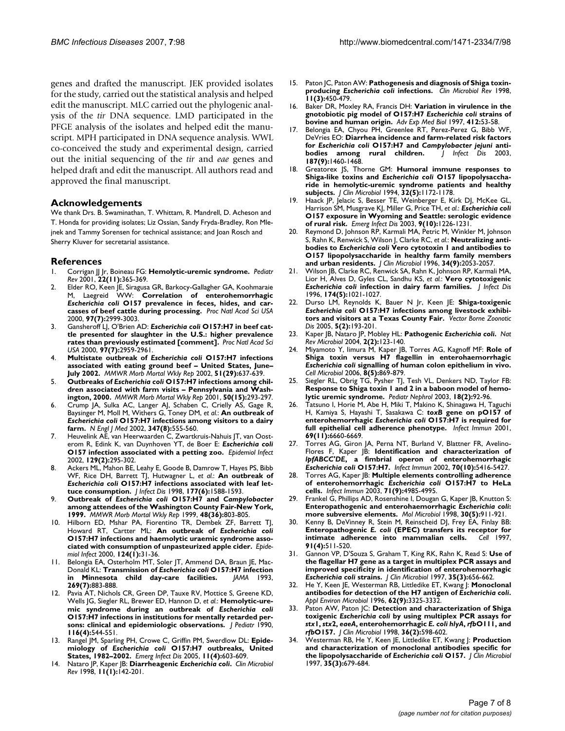genes and drafted the manuscript. JEK provided isolates for the study, carried out the statistical analysis and helped edit the manuscript. MLC carried out the phylogenic analysis of the *tir* DNA sequence. LMD participated in the PFGE analysis of the isolates and helped edit the manuscript. MPH participated in DNA sequence analysis. WWL co-conceived the study and experimental design, carried out the initial sequencing of the *tir* and *eae* genes and helped draft and edit the manuscript. All authors read and approved the final manuscript.

#### **Acknowledgements**

We thank Drs. B. Swaminathan, T. Whittam, R. Mandrell, D. Acheson and T. Honda for providing isolates; Liz Ossian, Sandy Fryda-Bradley, Ron Mlejnek and Tammy Sorensen for technical assistance; and Joan Rosch and Sherry Kluver for secretarial assistance.

#### **References**

- 1. Corrigan JJ Jr, Boineau FG: **[Hemolytic-uremic syndrome.](http://www.ncbi.nlm.nih.gov/entrez/query.fcgi?cmd=Retrieve&db=PubMed&dopt=Abstract&list_uids=11691946)** *Pediatr Rev* 2001, **22(11):**365-369.
- 2. Elder RO, Keen JE, Siragusa GR, Barkocy-Gallagher GA, Koohmaraie M, Laegreid WW: **Correlation of enterohemorrhagic** *Escherichia coli* **[O157 prevalence in feces, hides, and car](http://www.ncbi.nlm.nih.gov/entrez/query.fcgi?cmd=Retrieve&db=PubMed&dopt=Abstract&list_uids=10725380)[casses of beef cattle during processing.](http://www.ncbi.nlm.nih.gov/entrez/query.fcgi?cmd=Retrieve&db=PubMed&dopt=Abstract&list_uids=10725380)** *Proc Natl Acad Sci USA* 2000, **97(7):**2999-3003.
- 3. Gansheroff LJ, O'Brien AD: *Escherichia coli* **[O157:H7 in beef cat](http://www.ncbi.nlm.nih.gov/entrez/query.fcgi?cmd=Retrieve&db=PubMed&dopt=Abstract&list_uids=10737775)[tle presented for slaughter in the U.S.: higher prevalence](http://www.ncbi.nlm.nih.gov/entrez/query.fcgi?cmd=Retrieve&db=PubMed&dopt=Abstract&list_uids=10737775) [rates than previously estimated \[comment\].](http://www.ncbi.nlm.nih.gov/entrez/query.fcgi?cmd=Retrieve&db=PubMed&dopt=Abstract&list_uids=10737775)** *Proc Natl Acad Sci USA* 2000, **97(7):**2959-2961.
- <span id="page-6-0"></span>4. **Multistate outbreak of** *Escherichia coli* **[O157:H7 infections](http://www.ncbi.nlm.nih.gov/entrez/query.fcgi?cmd=Retrieve&db=PubMed&dopt=Abstract&list_uids=12186220) [associated with eating ground beef – United States, June–](http://www.ncbi.nlm.nih.gov/entrez/query.fcgi?cmd=Retrieve&db=PubMed&dopt=Abstract&list_uids=12186220) [July 2002.](http://www.ncbi.nlm.nih.gov/entrez/query.fcgi?cmd=Retrieve&db=PubMed&dopt=Abstract&list_uids=12186220)** *MMWR Morb Mortal Wkly Rep* 2002, **51(29):**637-639.
- 5. **Outbreaks of** *Escherichia coli* **[O157:H7 infections among chil](http://www.ncbi.nlm.nih.gov/entrez/query.fcgi?cmd=Retrieve&db=PubMed&dopt=Abstract&list_uids=11330497)[dren associated with farm visits – Pennsylvania and Wash](http://www.ncbi.nlm.nih.gov/entrez/query.fcgi?cmd=Retrieve&db=PubMed&dopt=Abstract&list_uids=11330497)[ington, 2000.](http://www.ncbi.nlm.nih.gov/entrez/query.fcgi?cmd=Retrieve&db=PubMed&dopt=Abstract&list_uids=11330497)** *MMWR Morb Mortal Wkly Rep* 2001, **50(15):**293-297.
- 6. Crump JA, Sulka AC, Langer AJ, Schaben C, Crielly AS, Gage R, Baysinger M, Moll M, Withers G, Toney DM, *et al.*: **An outbreak of** *Escherichia coli* **[O157:H7 infections among visitors to a dairy](http://www.ncbi.nlm.nih.gov/entrez/query.fcgi?cmd=Retrieve&db=PubMed&dopt=Abstract&list_uids=12192014) [farm.](http://www.ncbi.nlm.nih.gov/entrez/query.fcgi?cmd=Retrieve&db=PubMed&dopt=Abstract&list_uids=12192014)** *N Engl J Med* 2002, **347(8):**555-560.
- 7. Heuvelink AE, van Heerwaarden C, Zwartkruis-Nahuis JT, van Oosterom R, Edink K, van Duynhoven YT, de Boer E: *Escherichia coli* **[O157 infection associated with a petting zoo.](http://www.ncbi.nlm.nih.gov/entrez/query.fcgi?cmd=Retrieve&db=PubMed&dopt=Abstract&list_uids=12403105)** *Epidemiol Infect* 2002, **129(2):**295-302.
- <span id="page-6-1"></span>8. Ackers ML, Mahon BE, Leahy E, Goode B, Damrow T, Hayes PS, Bibb WF, Rice DH, Barrett TJ, Hutwagner L, *et al.*: **An outbreak of** *Escherichia coli* **[O157:H7 infections associated with leaf let](http://www.ncbi.nlm.nih.gov/entrez/query.fcgi?cmd=Retrieve&db=PubMed&dopt=Abstract&list_uids=9607837)[tuce consumption.](http://www.ncbi.nlm.nih.gov/entrez/query.fcgi?cmd=Retrieve&db=PubMed&dopt=Abstract&list_uids=9607837)** *J Infect Dis* 1998, **177(6):**1588-1593.
- 9. **Outbreak of** *Escherichia coli* **O157:H7 and** *Campylobacter* **[among attendees of the Washington County Fair-New York,](http://www.ncbi.nlm.nih.gov/entrez/query.fcgi?cmd=Retrieve&db=PubMed&dopt=Abstract&list_uids=10499785) [1999.](http://www.ncbi.nlm.nih.gov/entrez/query.fcgi?cmd=Retrieve&db=PubMed&dopt=Abstract&list_uids=10499785)** *MMWR Morb Mortal Wkly Rep* 1999, **48(36):**803-805.
- 10. Hilborn ED, Mshar PA, Fiorentino TR, Dembek ZF, Barrett TJ, Howard RT, Cartter ML: **An outbreak of** *Escherichia coli* **[O157:H7 infections and haemolytic uraemic syndrome asso](http://www.ncbi.nlm.nih.gov/entrez/query.fcgi?cmd=Retrieve&db=PubMed&dopt=Abstract&list_uids=10722127)[ciated with consumption of unpasteurized apple cider.](http://www.ncbi.nlm.nih.gov/entrez/query.fcgi?cmd=Retrieve&db=PubMed&dopt=Abstract&list_uids=10722127)** *Epidemiol Infect* 2000, **124(1):**31-36.
- 11. Belongia EA, Osterholm MT, Soler JT, Ammend DA, Braun JE, Mac-Donald KL: **Transmission of** *Escherichia coli* **[O157:H7 infection](http://www.ncbi.nlm.nih.gov/entrez/query.fcgi?cmd=Retrieve&db=PubMed&dopt=Abstract&list_uids=8426447)** [in Minnesota child day-care facilities.](http://www.ncbi.nlm.nih.gov/entrez/query.fcgi?cmd=Retrieve&db=PubMed&dopt=Abstract&list_uids=8426447) **269(7):**883-888.
- Pavia AT, Nichols CR, Green DP, Tauxe RV, Mottice S, Greene KD, Wells JG, Siegler RL, Brewer ED, Hannon D, *et al.*: **Hemolytic-uremic syndrome during an outbreak of** *Escherichia coli* **[O157:H7 infections in institutions for mentally retarded per](http://www.ncbi.nlm.nih.gov/entrez/query.fcgi?cmd=Retrieve&db=PubMed&dopt=Abstract&list_uids=2181098)[sons: clinical and epidemiologic observations.](http://www.ncbi.nlm.nih.gov/entrez/query.fcgi?cmd=Retrieve&db=PubMed&dopt=Abstract&list_uids=2181098)** *J Pediatr* 1990, **116(4):**544-551.
- <span id="page-6-2"></span>13. Rangel JM, Sparling PH, Crowe C, Griffin PM, Swerdlow DL: **Epidemiology of** *Escherichia coli* **[O157:H7 outbreaks, United](http://www.ncbi.nlm.nih.gov/entrez/query.fcgi?cmd=Retrieve&db=PubMed&dopt=Abstract&list_uids=15829201) [States, 1982–2002.](http://www.ncbi.nlm.nih.gov/entrez/query.fcgi?cmd=Retrieve&db=PubMed&dopt=Abstract&list_uids=15829201)** *Emerg Infect Dis* 2005, **11(4):**603-609.
- 14. Nataro JP, Kaper JB: **Diarrheagenic** *Escherichia coli***[.](http://www.ncbi.nlm.nih.gov/entrez/query.fcgi?cmd=Retrieve&db=PubMed&dopt=Abstract&list_uids=9457432)** *Clin Microbiol Rev* 1998, **11(1):**142-201.
- 15. Paton JC, Paton AW: **Pathogenesis and diagnosis of Shiga toxinproducing** *Escherichia coli* **[infections.](http://www.ncbi.nlm.nih.gov/entrez/query.fcgi?cmd=Retrieve&db=PubMed&dopt=Abstract&list_uids=9665978)** *Clin Microbiol Rev* 1998, **11(3):**450-479.
- <span id="page-6-3"></span>16. Baker DR, Moxley RA, Francis DH: **Variation in virulence in the gnotobiotic pig model of O157:H7** *Escherichia coli* **[strains of](http://www.ncbi.nlm.nih.gov/entrez/query.fcgi?cmd=Retrieve&db=PubMed&dopt=Abstract&list_uids=9191990) [bovine and human origin.](http://www.ncbi.nlm.nih.gov/entrez/query.fcgi?cmd=Retrieve&db=PubMed&dopt=Abstract&list_uids=9191990)** *Adv Exp Med Biol* 1997, **412:**53-58.
- 17. Belongia EA, Chyou PH, Greenlee RT, Perez-Perez G, Bibb WF, DeVries EO: **Diarrhea incidence and farm-related risk factors** for *Escherichia coli* O157: H7 and *Campylobacter jejuni* anti-<br>bodies among rural children. J Infect Dis 2003, **bodies** among rural children. **187(9):**1460-1468.
- 18. Greatorex JS, Thorne GM: **Humoral immune responses to Shiga-like toxins and** *Escherichia coli* **[O157 lipopolysaccha](http://www.ncbi.nlm.nih.gov/entrez/query.fcgi?cmd=Retrieve&db=PubMed&dopt=Abstract&list_uids=8051241)[ride in hemolytic-uremic syndrome patients and healthy](http://www.ncbi.nlm.nih.gov/entrez/query.fcgi?cmd=Retrieve&db=PubMed&dopt=Abstract&list_uids=8051241) [subjects.](http://www.ncbi.nlm.nih.gov/entrez/query.fcgi?cmd=Retrieve&db=PubMed&dopt=Abstract&list_uids=8051241)** *J Clin Microbiol* 1994, **32(5):**1172-1178.
- 19. Haack JP, Jelacic S, Besser TE, Weinberger E, Kirk DJ, McKee GL, Harrison SM, Musgrave KJ, Miller G, Price TH, *et al.*: *Escherichia coli* **[O157 exposure in Wyoming and Seattle: serologic evidence](http://www.ncbi.nlm.nih.gov/entrez/query.fcgi?cmd=Retrieve&db=PubMed&dopt=Abstract&list_uids=14609456) [of rural risk.](http://www.ncbi.nlm.nih.gov/entrez/query.fcgi?cmd=Retrieve&db=PubMed&dopt=Abstract&list_uids=14609456)** *Emerg Infect Dis* 2003, **9(10):**1226-1231.
- 20. Reymond D, Johnson RP, Karmali MA, Petric M, Winkler M, Johnson S, Rahn K, Renwick S, Wilson J, Clarke RC, *et al.*: **Neutralizing antibodies to** *Escherichia coli* **[Vero cytotoxin 1 and antibodies to](http://www.ncbi.nlm.nih.gov/entrez/query.fcgi?cmd=Retrieve&db=PubMed&dopt=Abstract&list_uids=8862557) [O157 lipopolysaccharide in healthy farm family members](http://www.ncbi.nlm.nih.gov/entrez/query.fcgi?cmd=Retrieve&db=PubMed&dopt=Abstract&list_uids=8862557) [and urban residents.](http://www.ncbi.nlm.nih.gov/entrez/query.fcgi?cmd=Retrieve&db=PubMed&dopt=Abstract&list_uids=8862557)** *J Clin Microbiol* 1996, **34(9):**2053-2057.
- <span id="page-6-4"></span>21. Wilson JB, Clarke RC, Renwick SA, Rahn K, Johnson RP, Karmali MA, Lior H, Alves D, Gyles CL, Sandhu KS, *et al.*: **Vero cytotoxigenic** *Escherichia coli* **[infection in dairy farm families.](http://www.ncbi.nlm.nih.gov/entrez/query.fcgi?cmd=Retrieve&db=PubMed&dopt=Abstract&list_uids=8896504)** *J Infect Dis* 1996, **174(5):**1021-1027.
- 22. Durso LM, Reynolds K, Bauer N Jr, Keen JE: **Shiga-toxigenic** *Escherichia coli* **[O157:H7 infections among livestock exhibi](http://www.ncbi.nlm.nih.gov/entrez/query.fcgi?cmd=Retrieve&db=PubMed&dopt=Abstract&list_uids=16011437)[tors and visitors at a Texas County Fair.](http://www.ncbi.nlm.nih.gov/entrez/query.fcgi?cmd=Retrieve&db=PubMed&dopt=Abstract&list_uids=16011437)** *Vector Borne Zoonotic Dis* 2005, **5(2):**193-201.
- 23. Kaper JB, Nataro JP, Mobley HL: **Pathogenic** *Escherichia coli***[.](http://www.ncbi.nlm.nih.gov/entrez/query.fcgi?cmd=Retrieve&db=PubMed&dopt=Abstract&list_uids=15040260)** *Nat Rev Microbiol* 2004, **2(2):**123-140.
- 24. Miyamoto Y, Iimura M, Kaper JB, Torres AG, Kagnoff MF: **Role of Shiga toxin versus H7 flagellin in enterohaemorrhagic** *Escherichia coli* **[signalling of human colon epithelium in vivo.](http://www.ncbi.nlm.nih.gov/entrez/query.fcgi?cmd=Retrieve&db=PubMed&dopt=Abstract&list_uids=16611235)** *Cell Microbiol* 2006, **8(5):**869-879.
- 25. Siegler RL, Obrig TG, Pysher TJ, Tesh VL, Denkers ND, Taylor FB: **[Response to Shiga toxin 1 and 2 in a baboon model of hemo](http://www.ncbi.nlm.nih.gov/entrez/query.fcgi?cmd=Retrieve&db=PubMed&dopt=Abstract&list_uids=12579394)[lytic uremic syndrome.](http://www.ncbi.nlm.nih.gov/entrez/query.fcgi?cmd=Retrieve&db=PubMed&dopt=Abstract&list_uids=12579394)** *Pediatr Nephrol* 2003, **18(2):**92-96.
- 26. Tatsuno I, Horie M, Abe H, Miki T, Makino K, Shinagawa H, Taguchi H, Kamiya S, Hayashi T, Sasakawa C: *toxB* **gene on pO157 of enterohemorrhagic** *Escherichia coli* **[O157:H7 is required for](http://www.ncbi.nlm.nih.gov/entrez/query.fcgi?cmd=Retrieve&db=PubMed&dopt=Abstract&list_uids=11598035) [full epithelial cell adherence phenotype.](http://www.ncbi.nlm.nih.gov/entrez/query.fcgi?cmd=Retrieve&db=PubMed&dopt=Abstract&list_uids=11598035)** *Infect Immun* 2001, **69(11):**6660-6669.
- 27. Torres AG, Giron JA, Perna NT, Burland V, Blattner FR, Avelino-Flores F, Kaper JB: **Identification and characterization of** *lpfABCC'DE***, a fimbrial operon of enterohemorrhagic** *Escherichia coli* **[O157:H7.](http://www.ncbi.nlm.nih.gov/entrez/query.fcgi?cmd=Retrieve&db=PubMed&dopt=Abstract&list_uids=12228266)** *Infect Immun* 2002, **70(10):**5416-5427.
- 28. Torres AG, Kaper JB: **Multiple elements controlling adherence of enterohemorrhagic** *Escherichia coli* **[O157:H7 to HeLa](http://www.ncbi.nlm.nih.gov/entrez/query.fcgi?cmd=Retrieve&db=PubMed&dopt=Abstract&list_uids=12933841) [cells.](http://www.ncbi.nlm.nih.gov/entrez/query.fcgi?cmd=Retrieve&db=PubMed&dopt=Abstract&list_uids=12933841)** *Infect Immun* 2003, **71(9):**4985-4995.
- 29. Frankel G, Phillips AD, Rosenshine I, Dougan G, Kaper JB, Knutton S: **Enteropathogenic and enterohaemorrhagic** *Escherichia coli***[:](http://www.ncbi.nlm.nih.gov/entrez/query.fcgi?cmd=Retrieve&db=PubMed&dopt=Abstract&list_uids=9988469) [more subversive elements.](http://www.ncbi.nlm.nih.gov/entrez/query.fcgi?cmd=Retrieve&db=PubMed&dopt=Abstract&list_uids=9988469)** *Mol Microbiol* 1998, **30(5):**911-921.
- 30. Kenny B, DeVinney R, Stein M, Reinscheid DJ, Frey EA, Finlay BB: **Enteropathogenic** *E. coli* **[\(EPEC\) transfers its receptor for](http://www.ncbi.nlm.nih.gov/entrez/query.fcgi?cmd=Retrieve&db=PubMed&dopt=Abstract&list_uids=9390560) [intimate adherence into mammalian cells.](http://www.ncbi.nlm.nih.gov/entrez/query.fcgi?cmd=Retrieve&db=PubMed&dopt=Abstract&list_uids=9390560)** *Cell* 1997, **91(4):**511-520.
- 31. Gannon VP, D'Souza S, Graham T, King RK, Rahn K, Read S: **Use of the flagellar H7 gene as a target in multiplex PCR assays and improved specificity in identification of enterohemorrhagic** *Escherichia coli* **[strains.](http://www.ncbi.nlm.nih.gov/entrez/query.fcgi?cmd=Retrieve&db=PubMed&dopt=Abstract&list_uids=9041407)** *J Clin Microbiol* 1997, **35(3):**656-662.
- 32. He Y, Keen JE, Westerman RB, Littledike ET, Kwang J: **Monoclonal antibodies for detection of the H7 antigen of** *Escherichia coli***[.](http://www.ncbi.nlm.nih.gov/entrez/query.fcgi?cmd=Retrieve&db=PubMed&dopt=Abstract&list_uids=8795222)** *Appl Environ Microbiol* 1996, **62(9):**3325-3332.
- 33. Paton AW, Paton JC: **Detection and characterization of Shiga toxigenic** *Escherichia coli* **by using multiplex PCR assays for** *stx***1,** *stx***2,** *eaeA***, enterohemorrhagic** *E. coli hlyA***,** *rfb***O111, and** *rfb***[O157.](http://www.ncbi.nlm.nih.gov/entrez/query.fcgi?cmd=Retrieve&db=PubMed&dopt=Abstract&list_uids=9466788)** *J Clin Microbiol* 1998, **36(2):**598-602.
- 34. Westerman RB, He Y, Keen JE, Littledike ET, Kwang J: **Production and characterization of monoclonal antibodies specific for the lipopolysaccharide of** *Escherichia coli* **[O157.](http://www.ncbi.nlm.nih.gov/entrez/query.fcgi?cmd=Retrieve&db=PubMed&dopt=Abstract&list_uids=9041412)** *J Clin Microbiol* 1997, **35(3):**679-684.